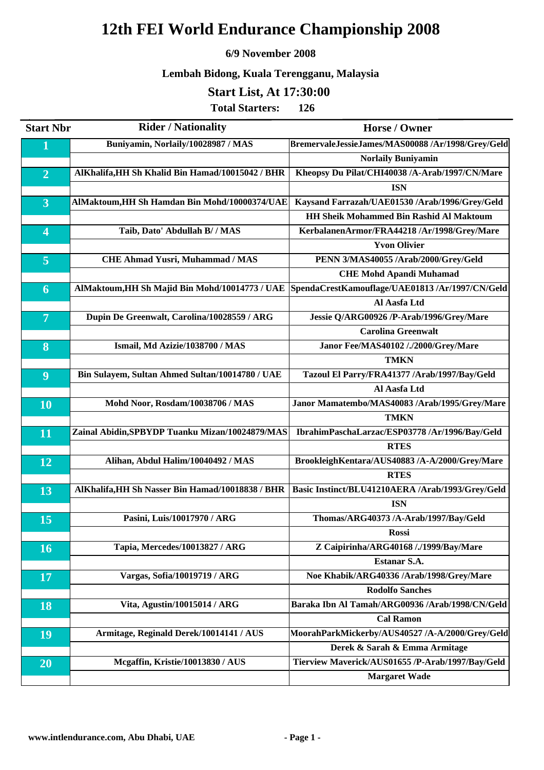### **6/9 November 2008**

## **Lembah Bidong, Kuala Terengganu, Malaysia**

## **Start List, At 17:30:00**

| <b>Start Nbr</b>        | <b>Rider / Nationality</b>                       | <b>Horse / Owner</b>                              |
|-------------------------|--------------------------------------------------|---------------------------------------------------|
| $\mathbf{1}$            | Buniyamin, Norlaily/10028987 / MAS               | BremervaleJessieJames/MAS00088 /Ar/1998/Grey/Geld |
|                         |                                                  | <b>Norlaily Buniyamin</b>                         |
| $\overline{2}$          | AlKhalifa, HH Sh Khalid Bin Hamad/10015042 / BHR | Kheopsy Du Pilat/CHI40038 /A-Arab/1997/CN/Mare    |
|                         |                                                  | <b>ISN</b>                                        |
| $\overline{3}$          | AlMaktoum, HH Sh Hamdan Bin Mohd/10000374/UAE    | Kaysand Farrazah/UAE01530 /Arab/1996/Grey/Geld    |
|                         |                                                  | <b>HH Sheik Mohammed Bin Rashid Al Maktoum</b>    |
| $\overline{\mathbf{4}}$ | Taib, Dato' Abdullah B/ / MAS                    | KerbalanenArmor/FRA44218 /Ar/1998/Grey/Mare       |
|                         |                                                  | <b>Yvon Olivier</b>                               |
| $\overline{5}$          | <b>CHE Ahmad Yusri, Muhammad / MAS</b>           | PENN 3/MAS40055 /Arab/2000/Grey/Geld              |
|                         |                                                  | <b>CHE Mohd Apandi Muhamad</b>                    |
| 6                       | AlMaktoum, HH Sh Majid Bin Mohd/10014773 / UAE   | SpendaCrestKamouflage/UAE01813 /Ar/1997/CN/Geld   |
|                         |                                                  | Al Aasfa Ltd                                      |
| $\overline{7}$          | Dupin De Greenwalt, Carolina/10028559 / ARG      | Jessie Q/ARG00926 /P-Arab/1996/Grey/Mare          |
|                         |                                                  | <b>Carolina Greenwalt</b>                         |
| 8                       | Ismail, Md Azizie/1038700 / MAS                  | Janor Fee/MAS40102 /./2000/Grey/Mare              |
|                         |                                                  | <b>TMKN</b>                                       |
| $\boldsymbol{9}$        | Bin Sulayem, Sultan Ahmed Sultan/10014780 / UAE  | Tazoul El Parry/FRA41377 /Arab/1997/Bay/Geld      |
|                         |                                                  | Al Aasfa Ltd                                      |
| 10                      | Mohd Noor, Rosdam/10038706 / MAS                 | Janor Mamatembo/MAS40083 /Arab/1995/Grey/Mare     |
|                         |                                                  | <b>TMKN</b>                                       |
| 11                      | Zainal Abidin, SPBYDP Tuanku Mizan/10024879/MAS  | IbrahimPaschaLarzac/ESP03778 /Ar/1996/Bay/Geld    |
|                         |                                                  | <b>RTES</b>                                       |
| 12                      | Alihan, Abdul Halim/10040492 / MAS               | BrookleighKentara/AUS40883 /A-A/2000/Grey/Mare    |
|                         |                                                  | <b>RTES</b>                                       |
| 13                      | AlKhalifa, HH Sh Nasser Bin Hamad/10018838 / BHR | Basic Instinct/BLU41210AERA /Arab/1993/Grey/Geld  |
|                         |                                                  | <b>ISN</b>                                        |
| 15                      | Pasini, Luis/10017970 / ARG                      | Thomas/ARG40373 /A-Arab/1997/Bay/Geld             |
|                         |                                                  | <b>Rossi</b>                                      |
| 16                      | Tapia, Mercedes/10013827 / ARG                   | Z Caipirinha/ARG40168 /./1999/Bay/Mare            |
|                         |                                                  | <b>Estanar S.A.</b>                               |
| <b>17</b>               | Vargas, Sofia/10019719 / ARG                     | Noe Khabik/ARG40336 /Arab/1998/Grey/Mare          |
|                         |                                                  | <b>Rodolfo Sanches</b>                            |
| 18                      | Vita, Agustin/10015014 / ARG                     | Baraka Ibn Al Tamah/ARG00936 /Arab/1998/CN/Geld   |
|                         |                                                  | <b>Cal Ramon</b>                                  |
| 19                      | Armitage, Reginald Derek/10014141 / AUS          | MoorahParkMickerby/AUS40527 /A-A/2000/Grey/Geld   |
|                         |                                                  | Derek & Sarah & Emma Armitage                     |
| 20                      | Mcgaffin, Kristie/10013830 / AUS                 | Tierview Maverick/AUS01655 /P-Arab/1997/Bay/Geld  |
|                         |                                                  | <b>Margaret Wade</b>                              |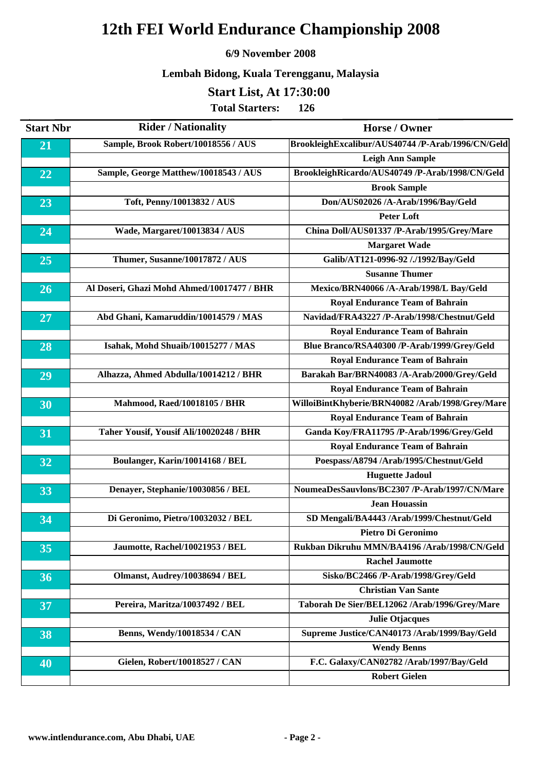#### **6/9 November 2008**

## **Lembah Bidong, Kuala Terengganu, Malaysia**

## **Start List, At 17:30:00**

| <b>Start Nbr</b> | <b>Rider / Nationality</b>                 | <b>Horse / Owner</b>                              |
|------------------|--------------------------------------------|---------------------------------------------------|
| 21               | Sample, Brook Robert/10018556 / AUS        | BrookleighExcalibur/AUS40744 /P-Arab/1996/CN/Geld |
|                  |                                            | <b>Leigh Ann Sample</b>                           |
| 22               | Sample, George Matthew/10018543 / AUS      | BrookleighRicardo/AUS40749 /P-Arab/1998/CN/Geld   |
|                  |                                            | <b>Brook Sample</b>                               |
| 23               | Toft, Penny/10013832 / AUS                 | Don/AUS02026 /A-Arab/1996/Bay/Geld                |
|                  |                                            | <b>Peter Loft</b>                                 |
| 24               | Wade, Margaret/10013834 / AUS              | China Doll/AUS01337 /P-Arab/1995/Grey/Mare        |
|                  |                                            | <b>Margaret Wade</b>                              |
| 25               | Thumer, Susanne/10017872 / AUS             | Galib/AT121-0996-92 /./1992/Bay/Geld              |
|                  |                                            | <b>Susanne Thumer</b>                             |
| 26               | Al Doseri, Ghazi Mohd Ahmed/10017477 / BHR | Mexico/BRN40066 /A-Arab/1998/L Bay/Geld           |
|                  |                                            | <b>Royal Endurance Team of Bahrain</b>            |
| 27               | Abd Ghani, Kamaruddin/10014579 / MAS       | Navidad/FRA43227 /P-Arab/1998/Chestnut/Geld       |
|                  |                                            | <b>Royal Endurance Team of Bahrain</b>            |
| 28               | Isahak, Mohd Shuaib/10015277 / MAS         | Blue Branco/RSA40300 /P-Arab/1999/Grey/Geld       |
|                  |                                            | <b>Royal Endurance Team of Bahrain</b>            |
| $\overline{29}$  | Alhazza, Ahmed Abdulla/10014212 / BHR      | Barakah Bar/BRN40083 /A-Arab/2000/Grey/Geld       |
|                  |                                            | <b>Royal Endurance Team of Bahrain</b>            |
| 30               | <b>Mahmood, Raed/10018105 / BHR</b>        | WilloiBintKhyberie/BRN40082 /Arab/1998/Grey/Mare  |
|                  |                                            | <b>Royal Endurance Team of Bahrain</b>            |
| 31               | Taher Yousif, Yousif Ali/10020248 / BHR    | Ganda Koy/FRA11795 /P-Arab/1996/Grey/Geld         |
|                  |                                            | <b>Royal Endurance Team of Bahrain</b>            |
| 32               | Boulanger, Karin/10014168 / BEL            | Poespass/A8794 /Arab/1995/Chestnut/Geld           |
|                  |                                            | <b>Huguette Jadoul</b>                            |
| 33               | Denayer, Stephanie/10030856 / BEL          | NoumeaDesSauvlons/BC2307 /P-Arab/1997/CN/Mare     |
|                  |                                            | <b>Jean Houassin</b>                              |
| 34               | Di Geronimo, Pietro/10032032 / BEL         | SD Mengali/BA4443 /Arab/1999/Chestnut/Geld        |
|                  |                                            | Pietro Di Geronimo                                |
| 35               | Jaumotte, Rachel/10021953 / BEL            | Rukban Dikruhu MMN/BA4196 /Arab/1998/CN/Geld      |
|                  |                                            | <b>Rachel Jaumotte</b>                            |
| 36               | Olmanst, Audrey/10038694 / BEL             | Sisko/BC2466 /P-Arab/1998/Grey/Geld               |
|                  |                                            | <b>Christian Van Sante</b>                        |
| 37               | Pereira, Maritza/10037492 / BEL            | Taborah De Sier/BEL12062 /Arab/1996/Grey/Mare     |
|                  |                                            | <b>Julie Otjacques</b>                            |
| 38               | Benns, Wendy/10018534 / CAN                | Supreme Justice/CAN40173 /Arab/1999/Bay/Geld      |
|                  |                                            | <b>Wendy Benns</b>                                |
| 40               | Gielen, Robert/10018527 / CAN              | F.C. Galaxy/CAN02782 /Arab/1997/Bay/Geld          |
|                  |                                            | <b>Robert Gielen</b>                              |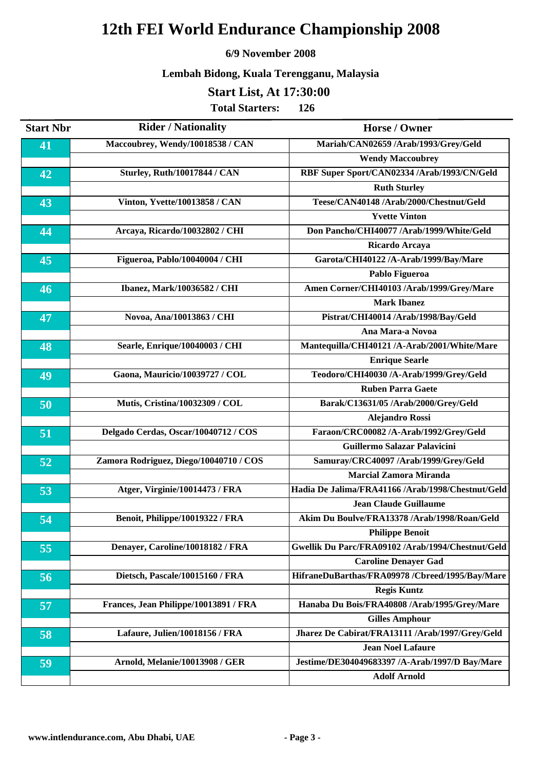#### **6/9 November 2008**

## **Lembah Bidong, Kuala Terengganu, Malaysia**

## **Start List, At 17:30:00**

| <b>Start Nbr</b> | <b>Rider / Nationality</b>             | <b>Horse / Owner</b>                              |
|------------------|----------------------------------------|---------------------------------------------------|
| 41               | Maccoubrey, Wendy/10018538 / CAN       | Mariah/CAN02659 /Arab/1993/Grey/Geld              |
|                  |                                        | <b>Wendy Maccoubrey</b>                           |
| 42               | <b>Sturley, Ruth/10017844 / CAN</b>    | RBF Super Sport/CAN02334 /Arab/1993/CN/Geld       |
|                  |                                        | <b>Ruth Sturley</b>                               |
| 43               | Vinton, Yvette/10013858 / CAN          | Teese/CAN40148 /Arab/2000/Chestnut/Geld           |
|                  |                                        | <b>Yvette Vinton</b>                              |
| 44               | Arcaya, Ricardo/10032802 / CHI         | Don Pancho/CHI40077 /Arab/1999/White/Geld         |
|                  |                                        | Ricardo Arcaya                                    |
| 45               | Figueroa, Pablo/10040004 / CHI         | Garota/CHI40122 /A-Arab/1999/Bay/Mare             |
|                  |                                        | Pablo Figueroa                                    |
| 46               | Ibanez, Mark/10036582 / CHI            | Amen Corner/CHI40103 /Arab/1999/Grey/Mare         |
|                  |                                        | <b>Mark Ibanez</b>                                |
| 47               | Novoa, Ana/10013863 / CHI              | Pistrat/CHI40014 /Arab/1998/Bay/Geld              |
|                  |                                        | Ana Mara-a Novoa                                  |
| 48               | Searle, Enrique/10040003 / CHI         | Mantequilla/CHI40121 /A-Arab/2001/White/Mare      |
|                  |                                        | <b>Enrique Searle</b>                             |
| 49               | Gaona, Mauricio/10039727 / COL         | Teodoro/CHI40030 /A-Arab/1999/Grey/Geld           |
|                  |                                        | <b>Ruben Parra Gaete</b>                          |
| 50               | Mutis, Cristina/10032309 / COL         | Barak/C13631/05 /Arab/2000/Grey/Geld              |
|                  |                                        | <b>Alejandro Rossi</b>                            |
| 51               | Delgado Cerdas, Oscar/10040712 / COS   | Faraon/CRC00082 /A-Arab/1992/Grey/Geld            |
|                  |                                        | Guillermo Salazar Palavicini                      |
| 52               | Zamora Rodriguez, Diego/10040710 / COS | Samuray/CRC40097 /Arab/1999/Grey/Geld             |
|                  |                                        | <b>Marcial Zamora Miranda</b>                     |
| 53               | Atger, Virginie/10014473 / FRA         | Hadia De Jalima/FRA41166 /Arab/1998/Chestnut/Geld |
|                  |                                        | <b>Jean Claude Guillaume</b>                      |
| 54               | Benoit, Philippe/10019322 / FRA        | Akim Du Boulve/FRA13378 /Arab/1998/Roan/Geld      |
|                  |                                        | <b>Philippe Benoit</b>                            |
| 55               | Denayer, Caroline/10018182 / FRA       | Gwellik Du Parc/FRA09102 /Arab/1994/Chestnut/Geld |
|                  |                                        | <b>Caroline Denayer Gad</b>                       |
| 56               | Dietsch, Pascale/10015160 / FRA        | HifraneDuBarthas/FRA09978 /Cbreed/1995/Bay/Mare   |
|                  |                                        | <b>Regis Kuntz</b>                                |
| 57               | Frances, Jean Philippe/10013891 / FRA  | Hanaba Du Bois/FRA40808 /Arab/1995/Grey/Mare      |
|                  |                                        | <b>Gilles Amphour</b>                             |
| 58               | Lafaure, Julien/10018156 / FRA         | Jharez De Cabirat/FRA13111 /Arab/1997/Grey/Geld   |
|                  |                                        | <b>Jean Noel Lafaure</b>                          |
| $\overline{59}$  | Arnold, Melanie/10013908 / GER         | Jestime/DE304049683397 /A-Arab/1997/D Bay/Mare    |
|                  |                                        | <b>Adolf Arnold</b>                               |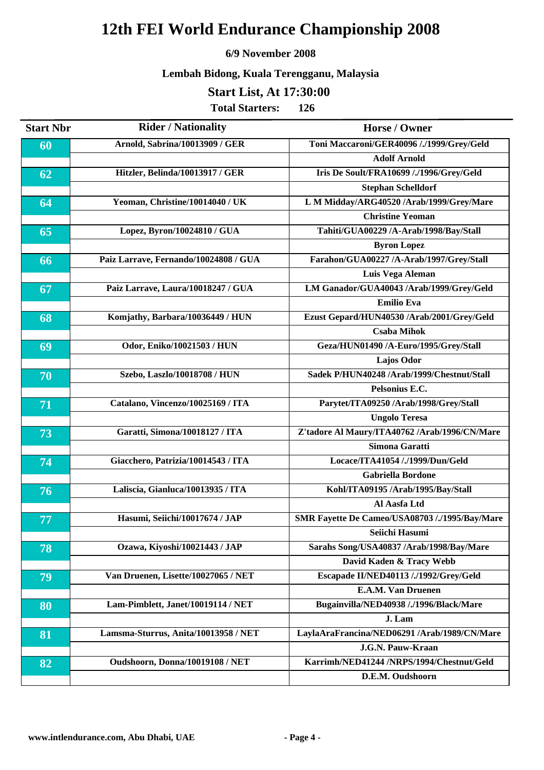#### **6/9 November 2008**

## **Lembah Bidong, Kuala Terengganu, Malaysia**

## **Start List, At 17:30:00**

| <b>Start Nbr</b> | <b>Rider / Nationality</b>            | Horse / Owner                                  |
|------------------|---------------------------------------|------------------------------------------------|
| 60               | Arnold, Sabrina/10013909 / GER        | Toni Maccaroni/GER40096 /./1999/Grey/Geld      |
|                  |                                       | <b>Adolf Arnold</b>                            |
| 62               | Hitzler, Belinda/10013917 / GER       | Iris De Soult/FRA10699 /./1996/Grey/Geld       |
|                  |                                       | <b>Stephan Schelldorf</b>                      |
| 64               | Yeoman, Christine/10014040 / UK       | L M Midday/ARG40520 /Arab/1999/Grey/Mare       |
|                  |                                       | <b>Christine Yeoman</b>                        |
| 65               | Lopez, Byron/10024810 / GUA           | Tahiti/GUA00229 /A-Arab/1998/Bay/Stall         |
|                  |                                       | <b>Byron Lopez</b>                             |
| 66               | Paiz Larrave, Fernando/10024808 / GUA | Farahon/GUA00227 /A-Arab/1997/Grey/Stall       |
|                  |                                       | Luis Vega Aleman                               |
| 67               | Paiz Larrave, Laura/10018247 / GUA    | LM Ganador/GUA40043 /Arab/1999/Grey/Geld       |
|                  |                                       | <b>Emilio Eva</b>                              |
| 68               | Komjathy, Barbara/10036449 / HUN      | Ezust Gepard/HUN40530 /Arab/2001/Grey/Geld     |
|                  |                                       | <b>Csaba Mihok</b>                             |
| 69               | Odor, Eniko/10021503 / HUN            | Geza/HUN01490 /A-Euro/1995/Grey/Stall          |
|                  |                                       | <b>Lajos Odor</b>                              |
| 70               | Szebo, Laszlo/10018708 / HUN          | Sadek P/HUN40248 /Arab/1999/Chestnut/Stall     |
|                  |                                       | Pelsonius E.C.                                 |
| 71               | Catalano, Vincenzo/10025169 / ITA     | Parytet/ITA09250 /Arab/1998/Grey/Stall         |
|                  |                                       | <b>Ungolo Teresa</b>                           |
| 73               | Garatti, Simona/10018127 / ITA        | Z'tadore Al Maury/ITA40762 /Arab/1996/CN/Mare  |
|                  |                                       | Simona Garatti                                 |
| 74               | Giacchero, Patrizia/10014543 / ITA    | Locace/ITA41054 /./1999/Dun/Geld               |
|                  |                                       | <b>Gabriella Bordone</b>                       |
| 76               | Laliscia, Gianluca/10013935 / ITA     | Kohl/ITA09195 /Arab/1995/Bay/Stall             |
|                  |                                       | Al Aasfa Ltd                                   |
| 77               | Hasumi, Seiichi/10017674 / JAP        | SMR Fayette De Cameo/USA08703 /./1995/Bay/Mare |
|                  |                                       | Seiichi Hasumi                                 |
| 78               | Ozawa, Kiyoshi/10021443 / JAP         | Sarahs Song/USA40837 /Arab/1998/Bay/Mare       |
|                  |                                       | David Kaden & Tracy Webb                       |
| 79               | Van Druenen, Lisette/10027065 / NET   | Escapade II/NED40113 /./1992/Grey/Geld         |
|                  |                                       | E.A.M. Van Druenen                             |
| 80               | Lam-Pimblett, Janet/10019114 / NET    | Bugainvilla/NED40938 /./1996/Black/Mare        |
|                  |                                       | J. Lam                                         |
| 81               | Lamsma-Sturrus, Anita/10013958 / NET  | LaylaAraFrancina/NED06291 /Arab/1989/CN/Mare   |
|                  |                                       | J.G.N. Pauw-Kraan                              |
| 82               | Oudshoorn, Donna/10019108 / NET       | Karrimh/NED41244 /NRPS/1994/Chestnut/Geld      |
|                  |                                       | D.E.M. Oudshoorn                               |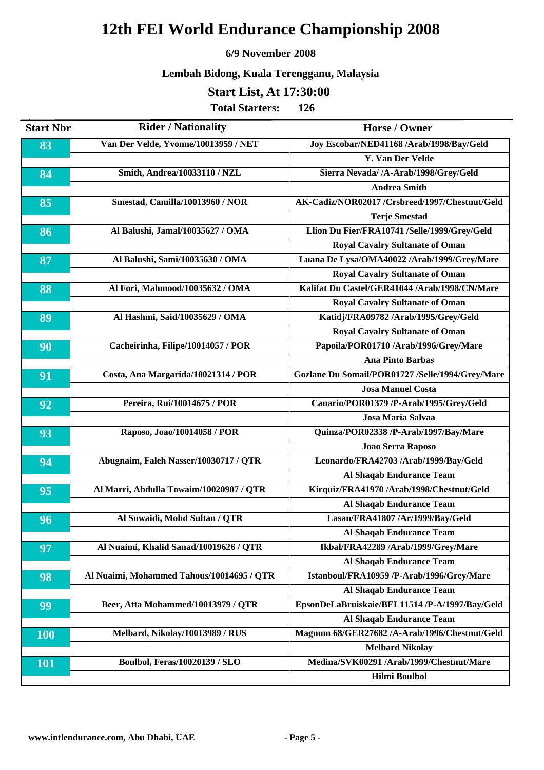#### **6/9 November 2008**

## **Lembah Bidong, Kuala Terengganu, Malaysia**

## **Start List, At 17:30:00**

| <b>Start Nbr</b> | <b>Rider / Nationality</b>                | <b>Horse / Owner</b>                             |
|------------------|-------------------------------------------|--------------------------------------------------|
| 83               | Van Der Velde, Yvonne/10013959 / NET      | Joy Escobar/NED41168 /Arab/1998/Bay/Geld         |
|                  |                                           | <b>Y. Van Der Velde</b>                          |
| 84               | Smith, Andrea/10033110 / NZL              | Sierra Nevada/ /A-Arab/1998/Grey/Geld            |
|                  |                                           | <b>Andrea Smith</b>                              |
| 85               | Smestad, Camilla/10013960 / NOR           | AK-Cadiz/NOR02017 /Crsbreed/1997/Chestnut/Geld   |
|                  |                                           | <b>Terje Smestad</b>                             |
| 86               | Al Balushi, Jamal/10035627 / OMA          | Llion Du Fier/FRA10741 /Selle/1999/Grey/Geld     |
|                  |                                           | <b>Royal Cavalry Sultanate of Oman</b>           |
| 87               | Al Balushi, Sami/10035630 / OMA           | Luana De Lysa/OMA40022 /Arab/1999/Grey/Mare      |
|                  |                                           | <b>Royal Cavalry Sultanate of Oman</b>           |
| 88               | Al Fori, Mahmood/10035632 / OMA           | Kalifat Du Castel/GER41044 /Arab/1998/CN/Mare    |
|                  |                                           | <b>Royal Cavalry Sultanate of Oman</b>           |
| 89               | Al Hashmi, Said/10035629 / OMA            | Katidj/FRA09782 /Arab/1995/Grey/Geld             |
|                  |                                           | <b>Royal Cavalry Sultanate of Oman</b>           |
| 90               | Cacheirinha, Filipe/10014057 / POR        | Papoila/POR01710 /Arab/1996/Grey/Mare            |
|                  |                                           | <b>Ana Pinto Barbas</b>                          |
| 91               | Costa, Ana Margarida/10021314 / POR       | Gozlane Du Somail/POR01727 /Selle/1994/Grey/Mare |
|                  |                                           | <b>Josa Manuel Costa</b>                         |
| 92               | Pereira, Rui/10014675 / POR               | Canario/POR01379 /P-Arab/1995/Grey/Geld          |
|                  |                                           | Josa Maria Salvaa                                |
| 93               | Raposo, Joao/10014058 / POR               | Quinza/POR02338 /P-Arab/1997/Bay/Mare            |
|                  |                                           | Joao Serra Raposo                                |
| 94               | Abugnaim, Faleh Nasser/10030717 / QTR     | Leonardo/FRA42703 /Arab/1999/Bay/Geld            |
|                  |                                           | Al Shaqab Endurance Team                         |
| 95               | Al Marri, Abdulla Towaim/10020907 / QTR   | Kirquiz/FRA41970 /Arab/1998/Chestnut/Geld        |
|                  |                                           | <b>Al Shaqab Endurance Team</b>                  |
| 96               | Al Suwaidi, Mohd Sultan / QTR             | Lasan/FRA41807 /Ar/1999/Bay/Geld                 |
|                  |                                           | Al Shaqab Endurance Team                         |
| 97               | Al Nuaimi, Khalid Sanad/10019626 / QTR    | Ikbal/FRA42289 /Arab/1999/Grey/Mare              |
|                  |                                           | Al Shaqab Endurance Team                         |
| 98               | Al Nuaimi, Mohammed Tahous/10014695 / QTR | Istanboul/FRA10959 /P-Arab/1996/Grey/Mare        |
|                  |                                           | <b>Al Shaqab Endurance Team</b>                  |
| 99               | Beer, Atta Mohammed/10013979 / QTR        | EpsonDeLaBruiskaie/BEL11514 /P-A/1997/Bay/Geld   |
|                  |                                           | <b>Al Shaqab Endurance Team</b>                  |
| <b>100</b>       | Melbard, Nikolay/10013989 / RUS           | Magnum 68/GER27682 /A-Arab/1996/Chestnut/Geld    |
|                  |                                           | <b>Melbard Nikolay</b>                           |
| <b>101</b>       | <b>Boulbol, Feras/10020139 / SLO</b>      | Medina/SVK00291 /Arab/1999/Chestnut/Mare         |
|                  |                                           | <b>Hilmi Boulbol</b>                             |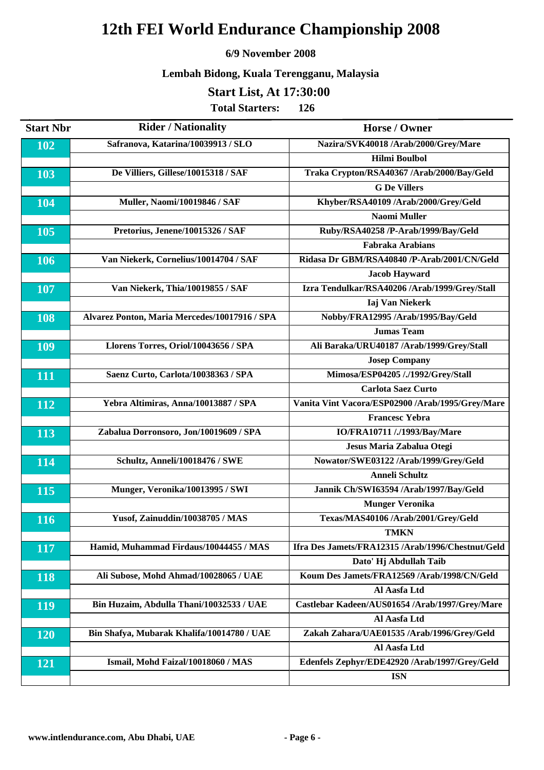#### **6/9 November 2008**

## **Lembah Bidong, Kuala Terengganu, Malaysia**

## **Start List, At 17:30:00**

| <b>Start Nbr</b> | <b>Rider / Nationality</b>                    | Horse / Owner                                     |
|------------------|-----------------------------------------------|---------------------------------------------------|
| 102              | Safranova, Katarina/10039913 / SLO            | Nazira/SVK40018 /Arab/2000/Grey/Mare              |
|                  |                                               | <b>Hilmi Boulbol</b>                              |
| 103              | De Villiers, Gillese/10015318 / SAF           | Traka Crypton/RSA40367 /Arab/2000/Bay/Geld        |
|                  |                                               | <b>G</b> De Villers                               |
| 104              | <b>Muller, Naomi/10019846 / SAF</b>           | Khyber/RSA40109 /Arab/2000/Grey/Geld              |
|                  |                                               | <b>Naomi Muller</b>                               |
| 105              | Pretorius, Jenene/10015326 / SAF              | Ruby/RSA40258 /P-Arab/1999/Bay/Geld               |
|                  |                                               | <b>Fabraka Arabians</b>                           |
| 106              | Van Niekerk, Cornelius/10014704 / SAF         | Ridasa Dr GBM/RSA40840 /P-Arab/2001/CN/Geld       |
|                  |                                               | <b>Jacob Hayward</b>                              |
| 107              | Van Niekerk, Thia/10019855 / SAF              | Izra Tendulkar/RSA40206 /Arab/1999/Grey/Stall     |
|                  |                                               | <b>Iaj Van Niekerk</b>                            |
| 108              | Alvarez Ponton, Maria Mercedes/10017916 / SPA | Nobby/FRA12995 /Arab/1995/Bay/Geld                |
|                  |                                               | <b>Jumas Team</b>                                 |
| 109              | Llorens Torres, Oriol/10043656 / SPA          | Ali Baraka/URU40187 /Arab/1999/Grey/Stall         |
|                  |                                               | <b>Josep Company</b>                              |
| 111              | Saenz Curto, Carlota/10038363 / SPA           | Mimosa/ESP04205 /./1992/Grey/Stall                |
|                  |                                               | <b>Carlota Saez Curto</b>                         |
| 112              | Yebra Altimiras, Anna/10013887 / SPA          | Vanita Vint Vacora/ESP02900 /Arab/1995/Grey/Mare  |
|                  |                                               | <b>Francesc Yebra</b>                             |
| 113              | Zabalua Dorronsoro, Jon/10019609 / SPA        | IO/FRA10711 /./1993/Bay/Mare                      |
|                  |                                               | Jesus Maria Zabalua Otegi                         |
| 114              | Schultz, Anneli/10018476 / SWE                | Nowator/SWE03122 /Arab/1999/Grey/Geld             |
|                  |                                               | <b>Anneli Schultz</b>                             |
| 115              | Munger, Veronika/10013995 / SWI               | Jannik Ch/SWI63594 /Arab/1997/Bay/Geld            |
|                  |                                               | <b>Munger Veronika</b>                            |
| 116              | Yusof, Zainuddin/10038705 / MAS               | Texas/MAS40106 /Arab/2001/Grey/Geld               |
|                  |                                               | <b>TMKN</b>                                       |
| 117              | Hamid, Muhammad Firdaus/10044455 / MAS        | Ifra Des Jamets/FRA12315 /Arab/1996/Chestnut/Geld |
|                  |                                               | Dato' Hj Abdullah Taib                            |
| 118              | Ali Subose, Mohd Ahmad/10028065 / UAE         | Koum Des Jamets/FRA12569 /Arab/1998/CN/Geld       |
|                  |                                               | Al Aasfa Ltd                                      |
| <b>119</b>       | Bin Huzaim, Abdulla Thani/10032533 / UAE      | Castlebar Kadeen/AUS01654 /Arab/1997/Grey/Mare    |
|                  |                                               | Al Aasfa Ltd                                      |
| 120              | Bin Shafya, Mubarak Khalifa/10014780 / UAE    | Zakah Zahara/UAE01535 /Arab/1996/Grey/Geld        |
|                  |                                               | Al Aasfa Ltd                                      |
| 121              | Ismail, Mohd Faizal/10018060 / MAS            | Edenfels Zephyr/EDE42920 /Arab/1997/Grey/Geld     |
|                  |                                               | <b>ISN</b>                                        |